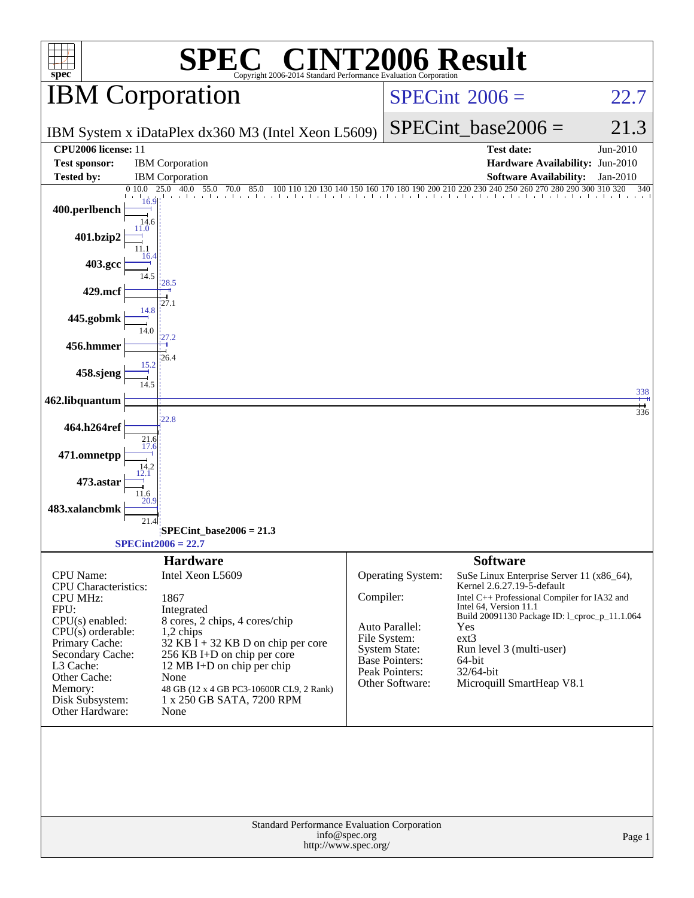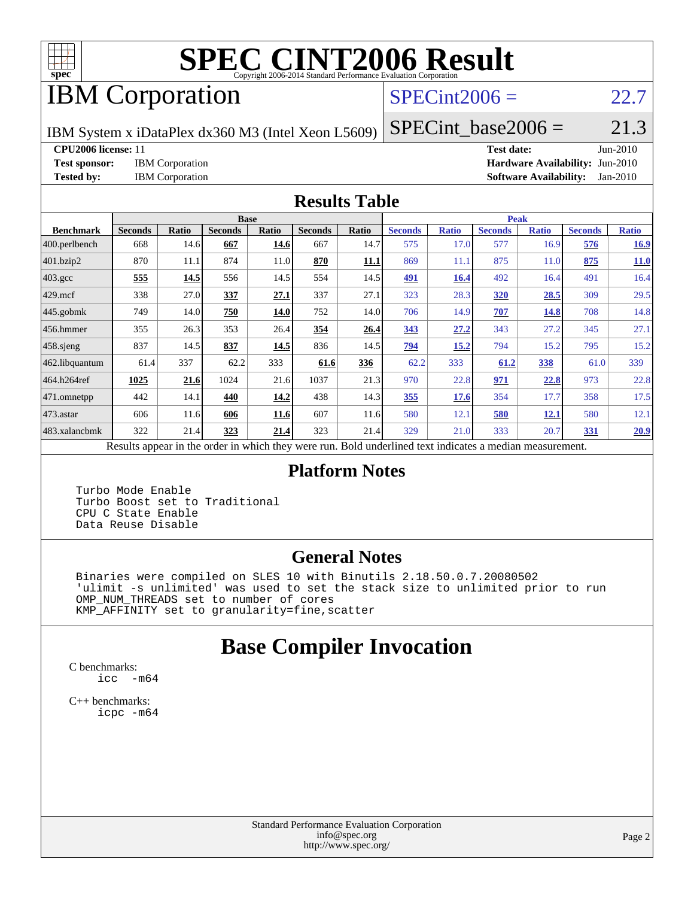

# **[SPEC CINT2006 Result](http://www.spec.org/auto/cpu2006/Docs/result-fields.html#SPECCINT2006Result)**

# IBM Corporation

#### $SPECint2006 = 22.7$  $SPECint2006 = 22.7$

IBM System x iDataPlex dx360 M3 (Intel Xeon L5609)

 $SPECTnt\_base2006 = 21.3$ 

**[CPU2006 license:](http://www.spec.org/auto/cpu2006/Docs/result-fields.html#CPU2006license)** 11 **[Test date:](http://www.spec.org/auto/cpu2006/Docs/result-fields.html#Testdate)** Jun-2010

**[Test sponsor:](http://www.spec.org/auto/cpu2006/Docs/result-fields.html#Testsponsor)** IBM Corporation **[Hardware Availability:](http://www.spec.org/auto/cpu2006/Docs/result-fields.html#HardwareAvailability)** Jun-2010 **[Tested by:](http://www.spec.org/auto/cpu2006/Docs/result-fields.html#Testedby)** IBM Corporation **[Software Availability:](http://www.spec.org/auto/cpu2006/Docs/result-fields.html#SoftwareAvailability)** Jan-2010

#### **[Results Table](http://www.spec.org/auto/cpu2006/Docs/result-fields.html#ResultsTable)**

|                                                                                                          | <b>Base</b>    |       |                |       |                |       | <b>Peak</b>    |              |                |              |                |              |  |
|----------------------------------------------------------------------------------------------------------|----------------|-------|----------------|-------|----------------|-------|----------------|--------------|----------------|--------------|----------------|--------------|--|
| <b>Benchmark</b>                                                                                         | <b>Seconds</b> | Ratio | <b>Seconds</b> | Ratio | <b>Seconds</b> | Ratio | <b>Seconds</b> | <b>Ratio</b> | <b>Seconds</b> | <b>Ratio</b> | <b>Seconds</b> | <b>Ratio</b> |  |
| $ 400.\text{perlbench}$                                                                                  | 668            | 14.6  | 667            | 14.6  | 667            | 14.7  | 575            | 17.0         | 577            | 16.9         | 576            | <b>16.9</b>  |  |
| 401.bzip2                                                                                                | 870            | 11.1  | 874            | 11.0  | 870            | 11.1  | 869            | 11.1         | 875            | 11.0         | 875            | 11.0         |  |
| $403.\text{gcc}$                                                                                         | 555            | 14.5  | 556            | 14.5  | 554            | 14.5  | 491            | 16.4         | 492            | 16.4         | 491            | 16.4         |  |
| $429$ mcf                                                                                                | 338            | 27.0  | 337            | 27.1  | 337            | 27.1  | 323            | 28.3         | <b>320</b>     | 28.5         | 309            | 29.5         |  |
| $445$ .gobmk                                                                                             | 749            | 14.0  | 750            | 14.0  | 752            | 14.0  | 706            | 14.9         | 707            | <u>14.8</u>  | 708            | 14.8         |  |
| $456.$ hmmer                                                                                             | 355            | 26.3  | 353            | 26.4  | 354            | 26.4  | 343            | 27.2         | 343            | 27.2         | 345            | 27.1         |  |
| 458 sjeng                                                                                                | 837            | 14.5  | 837            | 14.5  | 836            | 14.5  | <u>794</u>     | 15.2         | 794            | 15.2         | 795            | 15.2         |  |
| 462.libquantum                                                                                           | 61.4           | 337   | 62.2           | 333   | 61.6           | 336   | 62.2           | 333          | 61.2           | 338          | 61.0           | 339          |  |
| 464.h264ref                                                                                              | 1025           | 21.6  | 1024           | 21.6  | 1037           | 21.3  | 970            | 22.8         | 971            | 22.8         | 973            | 22.8         |  |
| $ 471$ .omnetpp                                                                                          | 442            | 14.1  | 440            | 14.2  | 438            | 14.3  | 355            | 17.6         | 354            | 17.7         | 358            | 17.5         |  |
| $473$ . astar                                                                                            | 606            | 11.6  | 606            | 11.6  | 607            | 11.6  | 580            | 12.1         | 580            | 12.1         | 580            | 12.1         |  |
| 483.xalancbmk                                                                                            | 322            | 21.4  | 323            | 21.4  | 323            | 21.4  | 329            | 21.0         | 333            | 20.7         | <b>331</b>     | 20.9         |  |
| Results appear in the order in which they were run. Bold underlined text indicates a median measurement. |                |       |                |       |                |       |                |              |                |              |                |              |  |

#### **[Platform Notes](http://www.spec.org/auto/cpu2006/Docs/result-fields.html#PlatformNotes)**

 Turbo Mode Enable Turbo Boost set to Traditional CPU C State Enable Data Reuse Disable

#### **[General Notes](http://www.spec.org/auto/cpu2006/Docs/result-fields.html#GeneralNotes)**

 Binaries were compiled on SLES 10 with Binutils 2.18.50.0.7.20080502 'ulimit -s unlimited' was used to set the stack size to unlimited prior to run OMP\_NUM\_THREADS set to number of cores KMP\_AFFINITY set to granularity=fine,scatter

## **[Base Compiler Invocation](http://www.spec.org/auto/cpu2006/Docs/result-fields.html#BaseCompilerInvocation)**

[C benchmarks](http://www.spec.org/auto/cpu2006/Docs/result-fields.html#Cbenchmarks): [icc -m64](http://www.spec.org/cpu2006/results/res2010q3/cpu2006-20100621-11797.flags.html#user_CCbase_intel_icc_64bit_f346026e86af2a669e726fe758c88044)

[C++ benchmarks:](http://www.spec.org/auto/cpu2006/Docs/result-fields.html#CXXbenchmarks) [icpc -m64](http://www.spec.org/cpu2006/results/res2010q3/cpu2006-20100621-11797.flags.html#user_CXXbase_intel_icpc_64bit_fc66a5337ce925472a5c54ad6a0de310)

> Standard Performance Evaluation Corporation [info@spec.org](mailto:info@spec.org) <http://www.spec.org/>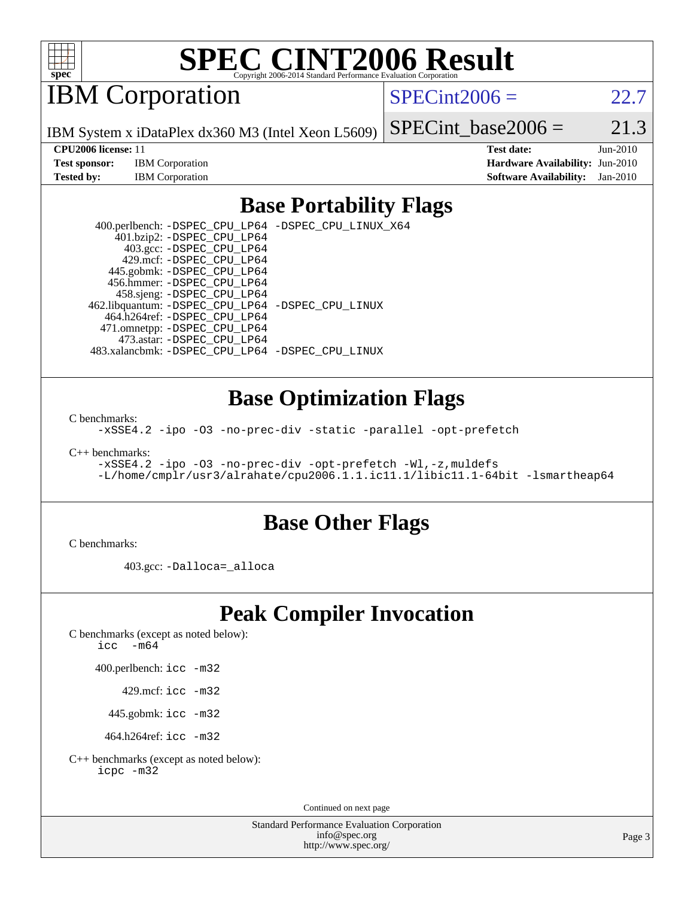

# **[SPEC CINT2006 Result](http://www.spec.org/auto/cpu2006/Docs/result-fields.html#SPECCINT2006Result)**

IBM Corporation

 $SPECint2006 = 22.7$  $SPECint2006 = 22.7$ 

IBM System x iDataPlex dx360 M3 (Intel Xeon L5609)

SPECint base2006 =  $21.3$ 

**[Test sponsor:](http://www.spec.org/auto/cpu2006/Docs/result-fields.html#Testsponsor)** IBM Corporation **[Hardware Availability:](http://www.spec.org/auto/cpu2006/Docs/result-fields.html#HardwareAvailability)** Jun-2010

**[CPU2006 license:](http://www.spec.org/auto/cpu2006/Docs/result-fields.html#CPU2006license)** 11 **[Test date:](http://www.spec.org/auto/cpu2006/Docs/result-fields.html#Testdate)** Jun-2010 **[Tested by:](http://www.spec.org/auto/cpu2006/Docs/result-fields.html#Testedby)** IBM Corporation **[Software Availability:](http://www.spec.org/auto/cpu2006/Docs/result-fields.html#SoftwareAvailability)** Jan-2010

#### **[Base Portability Flags](http://www.spec.org/auto/cpu2006/Docs/result-fields.html#BasePortabilityFlags)**

 400.perlbench: [-DSPEC\\_CPU\\_LP64](http://www.spec.org/cpu2006/results/res2010q3/cpu2006-20100621-11797.flags.html#b400.perlbench_basePORTABILITY_DSPEC_CPU_LP64) [-DSPEC\\_CPU\\_LINUX\\_X64](http://www.spec.org/cpu2006/results/res2010q3/cpu2006-20100621-11797.flags.html#b400.perlbench_baseCPORTABILITY_DSPEC_CPU_LINUX_X64) 401.bzip2: [-DSPEC\\_CPU\\_LP64](http://www.spec.org/cpu2006/results/res2010q3/cpu2006-20100621-11797.flags.html#suite_basePORTABILITY401_bzip2_DSPEC_CPU_LP64) 403.gcc: [-DSPEC\\_CPU\\_LP64](http://www.spec.org/cpu2006/results/res2010q3/cpu2006-20100621-11797.flags.html#suite_basePORTABILITY403_gcc_DSPEC_CPU_LP64) 429.mcf: [-DSPEC\\_CPU\\_LP64](http://www.spec.org/cpu2006/results/res2010q3/cpu2006-20100621-11797.flags.html#suite_basePORTABILITY429_mcf_DSPEC_CPU_LP64) 445.gobmk: [-DSPEC\\_CPU\\_LP64](http://www.spec.org/cpu2006/results/res2010q3/cpu2006-20100621-11797.flags.html#suite_basePORTABILITY445_gobmk_DSPEC_CPU_LP64) 456.hmmer: [-DSPEC\\_CPU\\_LP64](http://www.spec.org/cpu2006/results/res2010q3/cpu2006-20100621-11797.flags.html#suite_basePORTABILITY456_hmmer_DSPEC_CPU_LP64) 458.sjeng: [-DSPEC\\_CPU\\_LP64](http://www.spec.org/cpu2006/results/res2010q3/cpu2006-20100621-11797.flags.html#suite_basePORTABILITY458_sjeng_DSPEC_CPU_LP64) 462.libquantum: [-DSPEC\\_CPU\\_LP64](http://www.spec.org/cpu2006/results/res2010q3/cpu2006-20100621-11797.flags.html#suite_basePORTABILITY462_libquantum_DSPEC_CPU_LP64) [-DSPEC\\_CPU\\_LINUX](http://www.spec.org/cpu2006/results/res2010q3/cpu2006-20100621-11797.flags.html#b462.libquantum_baseCPORTABILITY_DSPEC_CPU_LINUX) 464.h264ref: [-DSPEC\\_CPU\\_LP64](http://www.spec.org/cpu2006/results/res2010q3/cpu2006-20100621-11797.flags.html#suite_basePORTABILITY464_h264ref_DSPEC_CPU_LP64) 471.omnetpp: [-DSPEC\\_CPU\\_LP64](http://www.spec.org/cpu2006/results/res2010q3/cpu2006-20100621-11797.flags.html#suite_basePORTABILITY471_omnetpp_DSPEC_CPU_LP64) 473.astar: [-DSPEC\\_CPU\\_LP64](http://www.spec.org/cpu2006/results/res2010q3/cpu2006-20100621-11797.flags.html#suite_basePORTABILITY473_astar_DSPEC_CPU_LP64) 483.xalancbmk: [-DSPEC\\_CPU\\_LP64](http://www.spec.org/cpu2006/results/res2010q3/cpu2006-20100621-11797.flags.html#suite_basePORTABILITY483_xalancbmk_DSPEC_CPU_LP64) [-DSPEC\\_CPU\\_LINUX](http://www.spec.org/cpu2006/results/res2010q3/cpu2006-20100621-11797.flags.html#b483.xalancbmk_baseCXXPORTABILITY_DSPEC_CPU_LINUX)

#### **[Base Optimization Flags](http://www.spec.org/auto/cpu2006/Docs/result-fields.html#BaseOptimizationFlags)**

[C benchmarks](http://www.spec.org/auto/cpu2006/Docs/result-fields.html#Cbenchmarks):

[-xSSE4.2](http://www.spec.org/cpu2006/results/res2010q3/cpu2006-20100621-11797.flags.html#user_CCbase_f-xSSE42_f91528193cf0b216347adb8b939d4107) [-ipo](http://www.spec.org/cpu2006/results/res2010q3/cpu2006-20100621-11797.flags.html#user_CCbase_f-ipo) [-O3](http://www.spec.org/cpu2006/results/res2010q3/cpu2006-20100621-11797.flags.html#user_CCbase_f-O3) [-no-prec-div](http://www.spec.org/cpu2006/results/res2010q3/cpu2006-20100621-11797.flags.html#user_CCbase_f-no-prec-div) [-static](http://www.spec.org/cpu2006/results/res2010q3/cpu2006-20100621-11797.flags.html#user_CCbase_f-static) [-parallel](http://www.spec.org/cpu2006/results/res2010q3/cpu2006-20100621-11797.flags.html#user_CCbase_f-parallel) [-opt-prefetch](http://www.spec.org/cpu2006/results/res2010q3/cpu2006-20100621-11797.flags.html#user_CCbase_f-opt-prefetch)

[C++ benchmarks:](http://www.spec.org/auto/cpu2006/Docs/result-fields.html#CXXbenchmarks)

[-xSSE4.2](http://www.spec.org/cpu2006/results/res2010q3/cpu2006-20100621-11797.flags.html#user_CXXbase_f-xSSE42_f91528193cf0b216347adb8b939d4107) [-ipo](http://www.spec.org/cpu2006/results/res2010q3/cpu2006-20100621-11797.flags.html#user_CXXbase_f-ipo) [-O3](http://www.spec.org/cpu2006/results/res2010q3/cpu2006-20100621-11797.flags.html#user_CXXbase_f-O3) [-no-prec-div](http://www.spec.org/cpu2006/results/res2010q3/cpu2006-20100621-11797.flags.html#user_CXXbase_f-no-prec-div) [-opt-prefetch](http://www.spec.org/cpu2006/results/res2010q3/cpu2006-20100621-11797.flags.html#user_CXXbase_f-opt-prefetch) [-Wl,-z,muldefs](http://www.spec.org/cpu2006/results/res2010q3/cpu2006-20100621-11797.flags.html#user_CXXbase_link_force_multiple1_74079c344b956b9658436fd1b6dd3a8a) [-L/home/cmplr/usr3/alrahate/cpu2006.1.1.ic11.1/libic11.1-64bit -lsmartheap64](http://www.spec.org/cpu2006/results/res2010q3/cpu2006-20100621-11797.flags.html#user_CXXbase_SmartHeap64_e2306cda84805d1ab360117a79ff779c)

#### **[Base Other Flags](http://www.spec.org/auto/cpu2006/Docs/result-fields.html#BaseOtherFlags)**

[C benchmarks](http://www.spec.org/auto/cpu2006/Docs/result-fields.html#Cbenchmarks):

403.gcc: [-Dalloca=\\_alloca](http://www.spec.org/cpu2006/results/res2010q3/cpu2006-20100621-11797.flags.html#b403.gcc_baseEXTRA_CFLAGS_Dalloca_be3056838c12de2578596ca5467af7f3)

### **[Peak Compiler Invocation](http://www.spec.org/auto/cpu2006/Docs/result-fields.html#PeakCompilerInvocation)**

[C benchmarks \(except as noted below\)](http://www.spec.org/auto/cpu2006/Docs/result-fields.html#Cbenchmarksexceptasnotedbelow):

icc  $-m64$ 

400.perlbench: [icc -m32](http://www.spec.org/cpu2006/results/res2010q3/cpu2006-20100621-11797.flags.html#user_peakCCLD400_perlbench_intel_icc_32bit_a6a621f8d50482236b970c6ac5f55f93)

429.mcf: [icc -m32](http://www.spec.org/cpu2006/results/res2010q3/cpu2006-20100621-11797.flags.html#user_peakCCLD429_mcf_intel_icc_32bit_a6a621f8d50482236b970c6ac5f55f93)

445.gobmk: [icc -m32](http://www.spec.org/cpu2006/results/res2010q3/cpu2006-20100621-11797.flags.html#user_peakCCLD445_gobmk_intel_icc_32bit_a6a621f8d50482236b970c6ac5f55f93)

464.h264ref: [icc -m32](http://www.spec.org/cpu2006/results/res2010q3/cpu2006-20100621-11797.flags.html#user_peakCCLD464_h264ref_intel_icc_32bit_a6a621f8d50482236b970c6ac5f55f93)

[C++ benchmarks \(except as noted below\):](http://www.spec.org/auto/cpu2006/Docs/result-fields.html#CXXbenchmarksexceptasnotedbelow) [icpc -m32](http://www.spec.org/cpu2006/results/res2010q3/cpu2006-20100621-11797.flags.html#user_CXXpeak_intel_icpc_32bit_4e5a5ef1a53fd332b3c49e69c3330699)

Continued on next page

Standard Performance Evaluation Corporation [info@spec.org](mailto:info@spec.org) <http://www.spec.org/>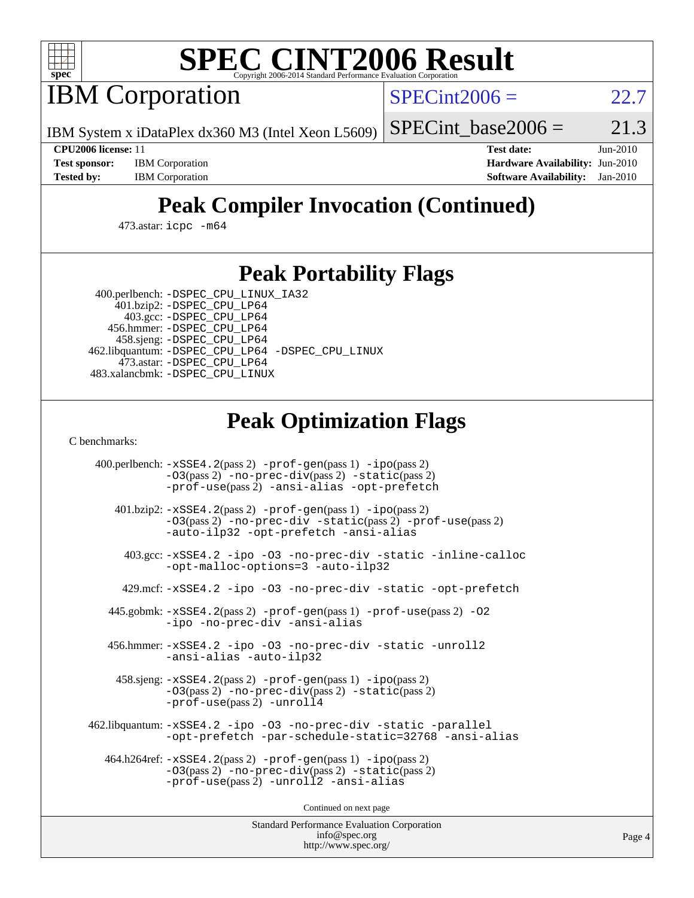

# **[SPEC CINT2006 Result](http://www.spec.org/auto/cpu2006/Docs/result-fields.html#SPECCINT2006Result)**

IBM Corporation

 $SPECint2006 = 22.7$  $SPECint2006 = 22.7$ 

IBM System x iDataPlex dx360 M3 (Intel Xeon L5609)

SPECint base2006 =  $21.3$ 

**[Test sponsor:](http://www.spec.org/auto/cpu2006/Docs/result-fields.html#Testsponsor)** IBM Corporation **[Hardware Availability:](http://www.spec.org/auto/cpu2006/Docs/result-fields.html#HardwareAvailability)** Jun-2010

**[CPU2006 license:](http://www.spec.org/auto/cpu2006/Docs/result-fields.html#CPU2006license)** 11 **[Test date:](http://www.spec.org/auto/cpu2006/Docs/result-fields.html#Testdate)** Jun-2010 **[Tested by:](http://www.spec.org/auto/cpu2006/Docs/result-fields.html#Testedby)** IBM Corporation **[Software Availability:](http://www.spec.org/auto/cpu2006/Docs/result-fields.html#SoftwareAvailability)** Jan-2010

## **[Peak Compiler Invocation \(Continued\)](http://www.spec.org/auto/cpu2006/Docs/result-fields.html#PeakCompilerInvocation)**

473.astar: [icpc -m64](http://www.spec.org/cpu2006/results/res2010q3/cpu2006-20100621-11797.flags.html#user_peakCXXLD473_astar_intel_icpc_64bit_fc66a5337ce925472a5c54ad6a0de310)

#### **[Peak Portability Flags](http://www.spec.org/auto/cpu2006/Docs/result-fields.html#PeakPortabilityFlags)**

 400.perlbench: [-DSPEC\\_CPU\\_LINUX\\_IA32](http://www.spec.org/cpu2006/results/res2010q3/cpu2006-20100621-11797.flags.html#b400.perlbench_peakCPORTABILITY_DSPEC_CPU_LINUX_IA32) 401.bzip2: [-DSPEC\\_CPU\\_LP64](http://www.spec.org/cpu2006/results/res2010q3/cpu2006-20100621-11797.flags.html#suite_peakPORTABILITY401_bzip2_DSPEC_CPU_LP64)

 403.gcc: [-DSPEC\\_CPU\\_LP64](http://www.spec.org/cpu2006/results/res2010q3/cpu2006-20100621-11797.flags.html#suite_peakPORTABILITY403_gcc_DSPEC_CPU_LP64) 456.hmmer: [-DSPEC\\_CPU\\_LP64](http://www.spec.org/cpu2006/results/res2010q3/cpu2006-20100621-11797.flags.html#suite_peakPORTABILITY456_hmmer_DSPEC_CPU_LP64) 458.sjeng: [-DSPEC\\_CPU\\_LP64](http://www.spec.org/cpu2006/results/res2010q3/cpu2006-20100621-11797.flags.html#suite_peakPORTABILITY458_sjeng_DSPEC_CPU_LP64) 462.libquantum: [-DSPEC\\_CPU\\_LP64](http://www.spec.org/cpu2006/results/res2010q3/cpu2006-20100621-11797.flags.html#suite_peakPORTABILITY462_libquantum_DSPEC_CPU_LP64) [-DSPEC\\_CPU\\_LINUX](http://www.spec.org/cpu2006/results/res2010q3/cpu2006-20100621-11797.flags.html#b462.libquantum_peakCPORTABILITY_DSPEC_CPU_LINUX) 473.astar: [-DSPEC\\_CPU\\_LP64](http://www.spec.org/cpu2006/results/res2010q3/cpu2006-20100621-11797.flags.html#suite_peakPORTABILITY473_astar_DSPEC_CPU_LP64) 483.xalancbmk: [-DSPEC\\_CPU\\_LINUX](http://www.spec.org/cpu2006/results/res2010q3/cpu2006-20100621-11797.flags.html#b483.xalancbmk_peakCXXPORTABILITY_DSPEC_CPU_LINUX)

### **[Peak Optimization Flags](http://www.spec.org/auto/cpu2006/Docs/result-fields.html#PeakOptimizationFlags)**

[C benchmarks](http://www.spec.org/auto/cpu2006/Docs/result-fields.html#Cbenchmarks):

 400.perlbench: [-xSSE4.2](http://www.spec.org/cpu2006/results/res2010q3/cpu2006-20100621-11797.flags.html#user_peakPASS2_CFLAGSPASS2_LDCFLAGS400_perlbench_f-xSSE42_f91528193cf0b216347adb8b939d4107)(pass 2) [-prof-gen](http://www.spec.org/cpu2006/results/res2010q3/cpu2006-20100621-11797.flags.html#user_peakPASS1_CFLAGSPASS1_LDCFLAGS400_perlbench_prof_gen_e43856698f6ca7b7e442dfd80e94a8fc)(pass 1) [-ipo](http://www.spec.org/cpu2006/results/res2010q3/cpu2006-20100621-11797.flags.html#user_peakPASS2_CFLAGSPASS2_LDCFLAGS400_perlbench_f-ipo)(pass 2) [-O3](http://www.spec.org/cpu2006/results/res2010q3/cpu2006-20100621-11797.flags.html#user_peakPASS2_CFLAGSPASS2_LDCFLAGS400_perlbench_f-O3)(pass 2) [-no-prec-div](http://www.spec.org/cpu2006/results/res2010q3/cpu2006-20100621-11797.flags.html#user_peakPASS2_CFLAGSPASS2_LDCFLAGS400_perlbench_f-no-prec-div)(pass 2) [-static](http://www.spec.org/cpu2006/results/res2010q3/cpu2006-20100621-11797.flags.html#user_peakPASS2_CFLAGSPASS2_LDCFLAGS400_perlbench_f-static)(pass 2) [-prof-use](http://www.spec.org/cpu2006/results/res2010q3/cpu2006-20100621-11797.flags.html#user_peakPASS2_CFLAGSPASS2_LDCFLAGS400_perlbench_prof_use_bccf7792157ff70d64e32fe3e1250b55)(pass 2) [-ansi-alias](http://www.spec.org/cpu2006/results/res2010q3/cpu2006-20100621-11797.flags.html#user_peakCOPTIMIZE400_perlbench_f-ansi-alias) [-opt-prefetch](http://www.spec.org/cpu2006/results/res2010q3/cpu2006-20100621-11797.flags.html#user_peakCOPTIMIZE400_perlbench_f-opt-prefetch) 401.bzip2: [-xSSE4.2](http://www.spec.org/cpu2006/results/res2010q3/cpu2006-20100621-11797.flags.html#user_peakPASS2_CFLAGSPASS2_LDCFLAGS401_bzip2_f-xSSE42_f91528193cf0b216347adb8b939d4107)(pass 2) [-prof-gen](http://www.spec.org/cpu2006/results/res2010q3/cpu2006-20100621-11797.flags.html#user_peakPASS1_CFLAGSPASS1_LDCFLAGS401_bzip2_prof_gen_e43856698f6ca7b7e442dfd80e94a8fc)(pass 1) [-ipo](http://www.spec.org/cpu2006/results/res2010q3/cpu2006-20100621-11797.flags.html#user_peakPASS2_CFLAGSPASS2_LDCFLAGS401_bzip2_f-ipo)(pass 2) [-O3](http://www.spec.org/cpu2006/results/res2010q3/cpu2006-20100621-11797.flags.html#user_peakPASS2_CFLAGSPASS2_LDCFLAGS401_bzip2_f-O3)(pass 2) [-no-prec-div](http://www.spec.org/cpu2006/results/res2010q3/cpu2006-20100621-11797.flags.html#user_peakCOPTIMIZEPASS2_CFLAGSPASS2_LDCFLAGS401_bzip2_f-no-prec-div) [-static](http://www.spec.org/cpu2006/results/res2010q3/cpu2006-20100621-11797.flags.html#user_peakPASS2_CFLAGSPASS2_LDCFLAGS401_bzip2_f-static)(pass 2) [-prof-use](http://www.spec.org/cpu2006/results/res2010q3/cpu2006-20100621-11797.flags.html#user_peakPASS2_CFLAGSPASS2_LDCFLAGS401_bzip2_prof_use_bccf7792157ff70d64e32fe3e1250b55)(pass 2) [-auto-ilp32](http://www.spec.org/cpu2006/results/res2010q3/cpu2006-20100621-11797.flags.html#user_peakCOPTIMIZE401_bzip2_f-auto-ilp32) [-opt-prefetch](http://www.spec.org/cpu2006/results/res2010q3/cpu2006-20100621-11797.flags.html#user_peakCOPTIMIZE401_bzip2_f-opt-prefetch) [-ansi-alias](http://www.spec.org/cpu2006/results/res2010q3/cpu2006-20100621-11797.flags.html#user_peakCOPTIMIZE401_bzip2_f-ansi-alias) 403.gcc: [-xSSE4.2](http://www.spec.org/cpu2006/results/res2010q3/cpu2006-20100621-11797.flags.html#user_peakCOPTIMIZE403_gcc_f-xSSE42_f91528193cf0b216347adb8b939d4107) [-ipo](http://www.spec.org/cpu2006/results/res2010q3/cpu2006-20100621-11797.flags.html#user_peakCOPTIMIZE403_gcc_f-ipo) [-O3](http://www.spec.org/cpu2006/results/res2010q3/cpu2006-20100621-11797.flags.html#user_peakCOPTIMIZE403_gcc_f-O3) [-no-prec-div](http://www.spec.org/cpu2006/results/res2010q3/cpu2006-20100621-11797.flags.html#user_peakCOPTIMIZE403_gcc_f-no-prec-div) [-static](http://www.spec.org/cpu2006/results/res2010q3/cpu2006-20100621-11797.flags.html#user_peakCOPTIMIZE403_gcc_f-static) [-inline-calloc](http://www.spec.org/cpu2006/results/res2010q3/cpu2006-20100621-11797.flags.html#user_peakCOPTIMIZE403_gcc_f-inline-calloc) [-opt-malloc-options=3](http://www.spec.org/cpu2006/results/res2010q3/cpu2006-20100621-11797.flags.html#user_peakCOPTIMIZE403_gcc_f-opt-malloc-options_13ab9b803cf986b4ee62f0a5998c2238) [-auto-ilp32](http://www.spec.org/cpu2006/results/res2010q3/cpu2006-20100621-11797.flags.html#user_peakCOPTIMIZE403_gcc_f-auto-ilp32) 429.mcf: [-xSSE4.2](http://www.spec.org/cpu2006/results/res2010q3/cpu2006-20100621-11797.flags.html#user_peakCOPTIMIZE429_mcf_f-xSSE42_f91528193cf0b216347adb8b939d4107) [-ipo](http://www.spec.org/cpu2006/results/res2010q3/cpu2006-20100621-11797.flags.html#user_peakCOPTIMIZE429_mcf_f-ipo) [-O3](http://www.spec.org/cpu2006/results/res2010q3/cpu2006-20100621-11797.flags.html#user_peakCOPTIMIZE429_mcf_f-O3) [-no-prec-div](http://www.spec.org/cpu2006/results/res2010q3/cpu2006-20100621-11797.flags.html#user_peakCOPTIMIZE429_mcf_f-no-prec-div) [-static](http://www.spec.org/cpu2006/results/res2010q3/cpu2006-20100621-11797.flags.html#user_peakCOPTIMIZE429_mcf_f-static) [-opt-prefetch](http://www.spec.org/cpu2006/results/res2010q3/cpu2006-20100621-11797.flags.html#user_peakCOPTIMIZE429_mcf_f-opt-prefetch) 445.gobmk: [-xSSE4.2](http://www.spec.org/cpu2006/results/res2010q3/cpu2006-20100621-11797.flags.html#user_peakPASS2_CFLAGSPASS2_LDCFLAGS445_gobmk_f-xSSE42_f91528193cf0b216347adb8b939d4107)(pass 2) [-prof-gen](http://www.spec.org/cpu2006/results/res2010q3/cpu2006-20100621-11797.flags.html#user_peakPASS1_CFLAGSPASS1_LDCFLAGS445_gobmk_prof_gen_e43856698f6ca7b7e442dfd80e94a8fc)(pass 1) [-prof-use](http://www.spec.org/cpu2006/results/res2010q3/cpu2006-20100621-11797.flags.html#user_peakPASS2_CFLAGSPASS2_LDCFLAGS445_gobmk_prof_use_bccf7792157ff70d64e32fe3e1250b55)(pass 2) [-O2](http://www.spec.org/cpu2006/results/res2010q3/cpu2006-20100621-11797.flags.html#user_peakCOPTIMIZE445_gobmk_f-O2) [-ipo](http://www.spec.org/cpu2006/results/res2010q3/cpu2006-20100621-11797.flags.html#user_peakCOPTIMIZE445_gobmk_f-ipo) [-no-prec-div](http://www.spec.org/cpu2006/results/res2010q3/cpu2006-20100621-11797.flags.html#user_peakCOPTIMIZE445_gobmk_f-no-prec-div) [-ansi-alias](http://www.spec.org/cpu2006/results/res2010q3/cpu2006-20100621-11797.flags.html#user_peakCOPTIMIZE445_gobmk_f-ansi-alias) 456.hmmer: [-xSSE4.2](http://www.spec.org/cpu2006/results/res2010q3/cpu2006-20100621-11797.flags.html#user_peakCOPTIMIZE456_hmmer_f-xSSE42_f91528193cf0b216347adb8b939d4107) [-ipo](http://www.spec.org/cpu2006/results/res2010q3/cpu2006-20100621-11797.flags.html#user_peakCOPTIMIZE456_hmmer_f-ipo) [-O3](http://www.spec.org/cpu2006/results/res2010q3/cpu2006-20100621-11797.flags.html#user_peakCOPTIMIZE456_hmmer_f-O3) [-no-prec-div](http://www.spec.org/cpu2006/results/res2010q3/cpu2006-20100621-11797.flags.html#user_peakCOPTIMIZE456_hmmer_f-no-prec-div) [-static](http://www.spec.org/cpu2006/results/res2010q3/cpu2006-20100621-11797.flags.html#user_peakCOPTIMIZE456_hmmer_f-static) [-unroll2](http://www.spec.org/cpu2006/results/res2010q3/cpu2006-20100621-11797.flags.html#user_peakCOPTIMIZE456_hmmer_f-unroll_784dae83bebfb236979b41d2422d7ec2) [-ansi-alias](http://www.spec.org/cpu2006/results/res2010q3/cpu2006-20100621-11797.flags.html#user_peakCOPTIMIZE456_hmmer_f-ansi-alias) [-auto-ilp32](http://www.spec.org/cpu2006/results/res2010q3/cpu2006-20100621-11797.flags.html#user_peakCOPTIMIZE456_hmmer_f-auto-ilp32) 458.sjeng: [-xSSE4.2](http://www.spec.org/cpu2006/results/res2010q3/cpu2006-20100621-11797.flags.html#user_peakPASS2_CFLAGSPASS2_LDCFLAGS458_sjeng_f-xSSE42_f91528193cf0b216347adb8b939d4107)(pass 2) [-prof-gen](http://www.spec.org/cpu2006/results/res2010q3/cpu2006-20100621-11797.flags.html#user_peakPASS1_CFLAGSPASS1_LDCFLAGS458_sjeng_prof_gen_e43856698f6ca7b7e442dfd80e94a8fc)(pass 1) [-ipo](http://www.spec.org/cpu2006/results/res2010q3/cpu2006-20100621-11797.flags.html#user_peakPASS2_CFLAGSPASS2_LDCFLAGS458_sjeng_f-ipo)(pass 2) [-O3](http://www.spec.org/cpu2006/results/res2010q3/cpu2006-20100621-11797.flags.html#user_peakPASS2_CFLAGSPASS2_LDCFLAGS458_sjeng_f-O3)(pass 2) [-no-prec-div](http://www.spec.org/cpu2006/results/res2010q3/cpu2006-20100621-11797.flags.html#user_peakPASS2_CFLAGSPASS2_LDCFLAGS458_sjeng_f-no-prec-div)(pass 2) [-static](http://www.spec.org/cpu2006/results/res2010q3/cpu2006-20100621-11797.flags.html#user_peakPASS2_CFLAGSPASS2_LDCFLAGS458_sjeng_f-static)(pass 2) [-prof-use](http://www.spec.org/cpu2006/results/res2010q3/cpu2006-20100621-11797.flags.html#user_peakPASS2_CFLAGSPASS2_LDCFLAGS458_sjeng_prof_use_bccf7792157ff70d64e32fe3e1250b55)(pass 2) [-unroll4](http://www.spec.org/cpu2006/results/res2010q3/cpu2006-20100621-11797.flags.html#user_peakCOPTIMIZE458_sjeng_f-unroll_4e5e4ed65b7fd20bdcd365bec371b81f) 462.libquantum: [-xSSE4.2](http://www.spec.org/cpu2006/results/res2010q3/cpu2006-20100621-11797.flags.html#user_peakCOPTIMIZE462_libquantum_f-xSSE42_f91528193cf0b216347adb8b939d4107) [-ipo](http://www.spec.org/cpu2006/results/res2010q3/cpu2006-20100621-11797.flags.html#user_peakCOPTIMIZE462_libquantum_f-ipo) [-O3](http://www.spec.org/cpu2006/results/res2010q3/cpu2006-20100621-11797.flags.html#user_peakCOPTIMIZE462_libquantum_f-O3) [-no-prec-div](http://www.spec.org/cpu2006/results/res2010q3/cpu2006-20100621-11797.flags.html#user_peakCOPTIMIZE462_libquantum_f-no-prec-div) [-static](http://www.spec.org/cpu2006/results/res2010q3/cpu2006-20100621-11797.flags.html#user_peakCOPTIMIZE462_libquantum_f-static) [-parallel](http://www.spec.org/cpu2006/results/res2010q3/cpu2006-20100621-11797.flags.html#user_peakCOPTIMIZE462_libquantum_f-parallel) [-opt-prefetch](http://www.spec.org/cpu2006/results/res2010q3/cpu2006-20100621-11797.flags.html#user_peakCOPTIMIZE462_libquantum_f-opt-prefetch) [-par-schedule-static=32768](http://www.spec.org/cpu2006/results/res2010q3/cpu2006-20100621-11797.flags.html#user_peakCOPTIMIZE462_libquantum_f-par-schedule_9386bcd99ba64e99ee01d1aafefddd14) [-ansi-alias](http://www.spec.org/cpu2006/results/res2010q3/cpu2006-20100621-11797.flags.html#user_peakCOPTIMIZE462_libquantum_f-ansi-alias) 464.h264ref: [-xSSE4.2](http://www.spec.org/cpu2006/results/res2010q3/cpu2006-20100621-11797.flags.html#user_peakPASS2_CFLAGSPASS2_LDCFLAGS464_h264ref_f-xSSE42_f91528193cf0b216347adb8b939d4107)(pass 2) [-prof-gen](http://www.spec.org/cpu2006/results/res2010q3/cpu2006-20100621-11797.flags.html#user_peakPASS1_CFLAGSPASS1_LDCFLAGS464_h264ref_prof_gen_e43856698f6ca7b7e442dfd80e94a8fc)(pass 1) [-ipo](http://www.spec.org/cpu2006/results/res2010q3/cpu2006-20100621-11797.flags.html#user_peakPASS2_CFLAGSPASS2_LDCFLAGS464_h264ref_f-ipo)(pass 2) [-O3](http://www.spec.org/cpu2006/results/res2010q3/cpu2006-20100621-11797.flags.html#user_peakPASS2_CFLAGSPASS2_LDCFLAGS464_h264ref_f-O3)(pass 2) [-no-prec-div](http://www.spec.org/cpu2006/results/res2010q3/cpu2006-20100621-11797.flags.html#user_peakPASS2_CFLAGSPASS2_LDCFLAGS464_h264ref_f-no-prec-div)(pass 2) [-static](http://www.spec.org/cpu2006/results/res2010q3/cpu2006-20100621-11797.flags.html#user_peakPASS2_CFLAGSPASS2_LDCFLAGS464_h264ref_f-static)(pass 2) [-prof-use](http://www.spec.org/cpu2006/results/res2010q3/cpu2006-20100621-11797.flags.html#user_peakPASS2_CFLAGSPASS2_LDCFLAGS464_h264ref_prof_use_bccf7792157ff70d64e32fe3e1250b55)(pass 2) [-unroll2](http://www.spec.org/cpu2006/results/res2010q3/cpu2006-20100621-11797.flags.html#user_peakCOPTIMIZE464_h264ref_f-unroll_784dae83bebfb236979b41d2422d7ec2) [-ansi-alias](http://www.spec.org/cpu2006/results/res2010q3/cpu2006-20100621-11797.flags.html#user_peakCOPTIMIZE464_h264ref_f-ansi-alias)

Continued on next page

Standard Performance Evaluation Corporation [info@spec.org](mailto:info@spec.org) <http://www.spec.org/>